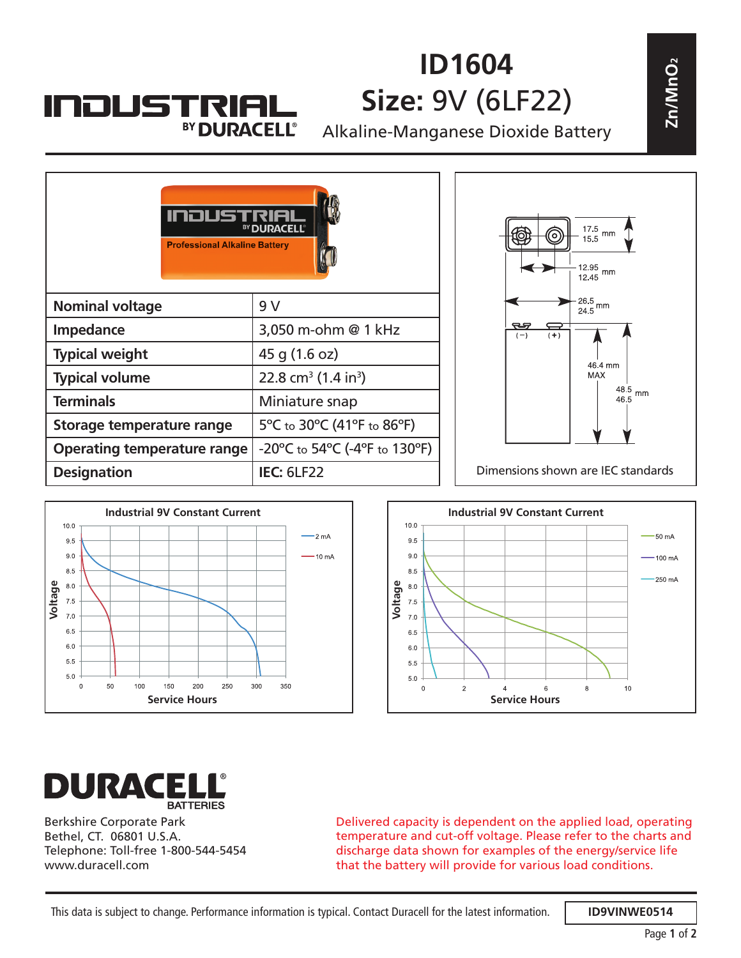## **INDUSTRIA** BY DURACELL®

## **ID1604 Size:** 9V (6LF22)

| NJUSTRIAL<br>BY DURACELL®            |                                             | ID1604<br><b>Size: 9V (6LF22)</b><br>Alkaline-Manganese Dioxide Battery | $\mathsf{Zn}/\mathsf{MnO}_2$ |
|--------------------------------------|---------------------------------------------|-------------------------------------------------------------------------|------------------------------|
|                                      |                                             |                                                                         |                              |
| <b>Professional Alkaline Battery</b> | BY DURACELL®                                | 17.5<br>mm<br>15.5<br>$12.95$ mm<br>$12.45$                             |                              |
| <b>Nominal voltage</b>               | 9 V                                         | $\frac{26.5}{24.5}$ mm                                                  |                              |
| <b>Impedance</b>                     | 3,050 m-ohm @ 1 kHz                         | ನ್<br>$(-)$<br>$(+)$                                                    |                              |
| <b>Typical weight</b>                | 45 g (1.6 oz)                               | 46.4 mm                                                                 |                              |
| <b>Typical volume</b>                | 22.8 cm <sup>3</sup> (1.4 in <sup>3</sup> ) | <b>MAX</b><br>48.5                                                      |                              |
| <b>Terminals</b>                     | Miniature snap                              | mm<br>46.5                                                              |                              |
| <b>Storage temperature range</b>     | 5°C to 30°C (41°F to 86°F)                  |                                                                         |                              |
| <b>Operating temperature range</b>   | -20°C to 54°C (-4°F to 130°F)               |                                                                         |                              |
| <b>Designation</b>                   | <b>IEC: 6LF22</b>                           | Dimensions shown are IEC standards                                      |                              |
|                                      |                                             |                                                                         |                              |







Berkshire Corporate Park Bethel, CT. 06801 U.S.A. Telephone: Toll-free 1-800-544-5454 www.duracell.com

Delivered capacity is dependent on the applied load, operating temperature and cut-off voltage. Please refer to the charts and discharge data shown for examples of the energy/service life that the battery will provide for various load conditions.